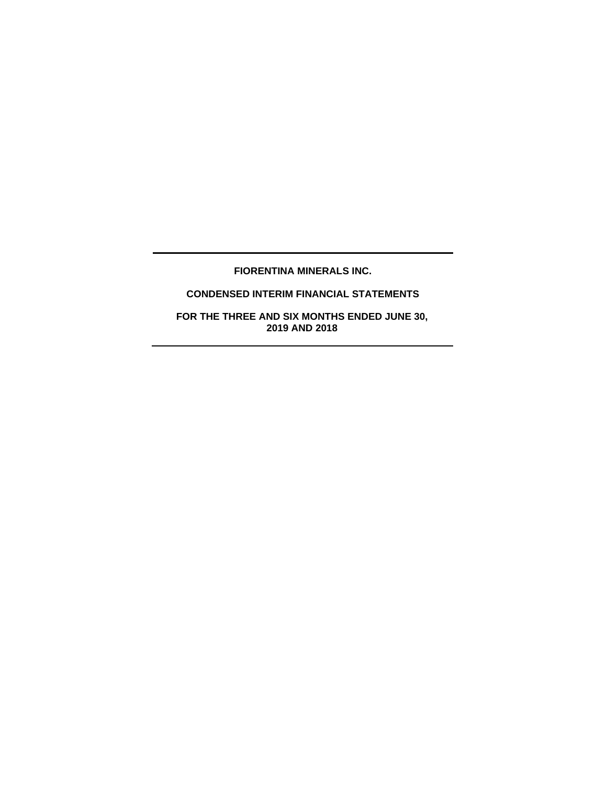# **FIORENTINA MINERALS INC.**

# **CONDENSED INTERIM FINANCIAL STATEMENTS**

**FOR THE THREE AND SIX MONTHS ENDED JUNE 30, 2019 AND 2018**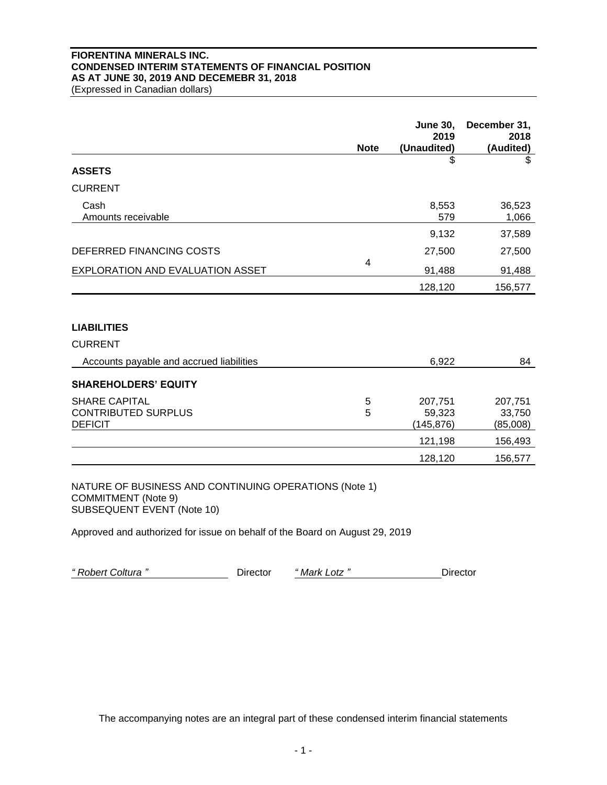### **FIORENTINA MINERALS INC. CONDENSED INTERIM STATEMENTS OF FINANCIAL POSITION AS AT JUNE 30, 2019 AND DECEMEBR 31, 2018**

(Expressed in Canadian dollars)

|                                                                      | <b>Note</b> | <b>June 30,</b><br>2019<br>(Unaudited) | December 31,<br>2018<br>(Audited) |
|----------------------------------------------------------------------|-------------|----------------------------------------|-----------------------------------|
| <b>ASSETS</b>                                                        |             | \$                                     | \$                                |
| <b>CURRENT</b>                                                       |             |                                        |                                   |
| Cash<br>Amounts receivable                                           |             | 8,553<br>579                           | 36,523<br>1,066                   |
|                                                                      |             | 9,132                                  | 37,589                            |
| DEFERRED FINANCING COSTS                                             |             | 27,500                                 | 27,500                            |
| EXPLORATION AND EVALUATION ASSET                                     | 4           | 91,488                                 | 91,488                            |
|                                                                      |             | 128,120                                | 156,577                           |
|                                                                      |             |                                        |                                   |
| <b>LIABILITIES</b>                                                   |             |                                        |                                   |
| <b>CURRENT</b>                                                       |             |                                        |                                   |
| Accounts payable and accrued liabilities                             |             | 6,922                                  | 84                                |
| <b>SHAREHOLDERS' EQUITY</b>                                          |             |                                        |                                   |
| <b>SHARE CAPITAL</b><br><b>CONTRIBUTED SURPLUS</b><br><b>DEFICIT</b> | 5<br>5      | 207,751<br>59,323<br>(145, 876)        | 207,751<br>33,750<br>(85,008)     |
|                                                                      |             | 121,198                                | 156,493                           |
|                                                                      |             | 128,120                                | 156,577                           |

NATURE OF BUSINESS AND CONTINUING OPERATIONS (Note 1) COMMITMENT (Note 9) SUBSEQUENT EVENT (Note 10)

Approved and authorized for issue on behalf of the Board on August 29, 2019

*" Robert Coltura "* Director *" Mark Lotz "* Director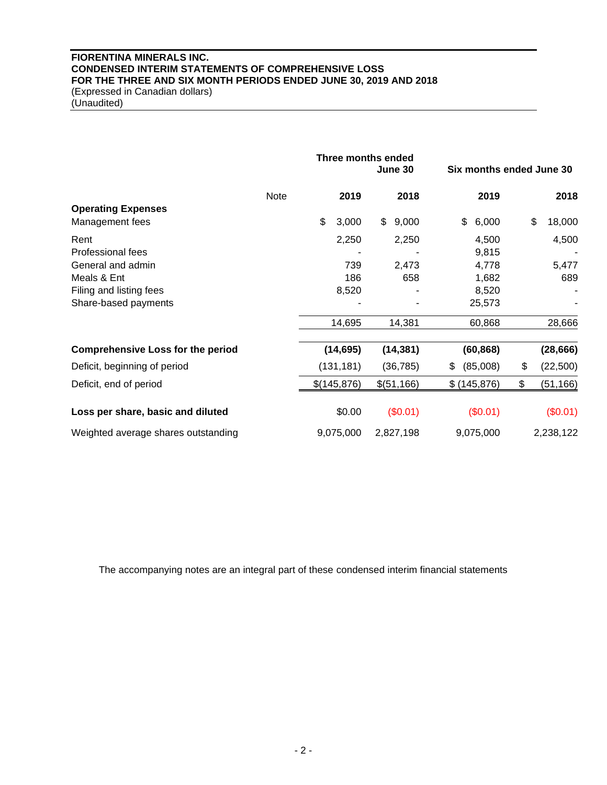# **FIORENTINA MINERALS INC. CONDENSED INTERIM STATEMENTS OF COMPREHENSIVE LOSS FOR THE THREE AND SIX MONTH PERIODS ENDED JUNE 30, 2019 AND 2018** (Expressed in Canadian dollars)

(Unaudited)

|                                          |             | Three months ended<br>June 30 |             | Six months ended June 30 |    |              |
|------------------------------------------|-------------|-------------------------------|-------------|--------------------------|----|--------------|
|                                          | <b>Note</b> | 2019                          | 2018        | 2019                     |    | 2018         |
| <b>Operating Expenses</b>                |             |                               |             |                          |    |              |
| Management fees                          |             | \$<br>3,000                   | \$<br>9,000 | \$<br>6,000              |    | \$<br>18,000 |
| Rent                                     |             | 2,250                         | 2,250       | 4,500                    |    | 4,500        |
| Professional fees                        |             |                               |             | 9,815                    |    |              |
| General and admin                        |             | 739                           | 2,473       | 4,778                    |    | 5,477        |
| Meals & Ent                              |             | 186                           | 658         | 1,682                    |    | 689          |
| Filing and listing fees                  |             | 8,520                         |             | 8,520                    |    |              |
| Share-based payments                     |             |                               |             | 25,573                   |    |              |
|                                          |             | 14,695                        | 14,381      | 60,868                   |    | 28,666       |
| <b>Comprehensive Loss for the period</b> |             | (14, 695)                     | (14, 381)   | (60, 868)                |    | (28, 666)    |
| Deficit, beginning of period             |             | (131, 181)                    | (36, 785)   | (85,008)<br>\$           | \$ | (22,500)     |
| Deficit, end of period                   |             | \$(145,876)                   | \$(51,166)  | \$(145, 876)             | \$ | (51, 166)    |
| Loss per share, basic and diluted        |             | \$0.00                        | (\$0.01)    | (\$0.01)                 |    | (\$0.01)     |
| Weighted average shares outstanding      |             | 9,075,000                     | 2,827,198   | 9,075,000                |    | 2,238,122    |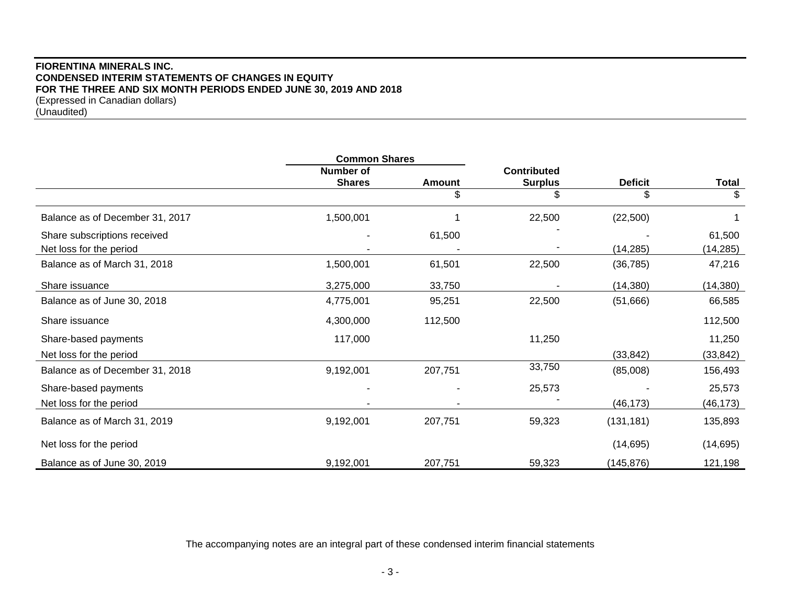## **FIORENTINA MINERALS INC. CONDENSED INTERIM STATEMENTS OF CHANGES IN EQUITY FOR THE THREE AND SIX MONTH PERIODS ENDED JUNE 30, 2019 AND 2018** (Expressed in Canadian dollars) (Unaudited)

|                                 | <b>Common Shares</b> |               |                    |                |           |
|---------------------------------|----------------------|---------------|--------------------|----------------|-----------|
|                                 | <b>Number of</b>     |               | <b>Contributed</b> |                |           |
|                                 | <b>Shares</b>        | <b>Amount</b> | <b>Surplus</b>     | <b>Deficit</b> | Total     |
|                                 |                      | \$            | \$                 | \$             | \$        |
| Balance as of December 31, 2017 | 1,500,001            |               | 22,500             | (22,500)       |           |
| Share subscriptions received    |                      | 61,500        |                    |                | 61,500    |
| Net loss for the period         |                      |               |                    | (14, 285)      | (14, 285) |
| Balance as of March 31, 2018    | 1,500,001            | 61,501        | 22,500             | (36, 785)      | 47,216    |
| Share issuance                  | 3,275,000            | 33,750        |                    | (14, 380)      | (14, 380) |
| Balance as of June 30, 2018     | 4,775,001            | 95,251        | 22,500             | (51,666)       | 66,585    |
| Share issuance                  | 4,300,000            | 112,500       |                    |                | 112,500   |
| Share-based payments            | 117,000              |               | 11,250             |                | 11,250    |
| Net loss for the period         |                      |               |                    | (33, 842)      | (33, 842) |
| Balance as of December 31, 2018 | 9,192,001            | 207,751       | 33,750             | (85,008)       | 156,493   |
| Share-based payments            |                      |               | 25,573             |                | 25,573    |
| Net loss for the period         |                      |               |                    | (46, 173)      | (46,173)  |
| Balance as of March 31, 2019    | 9,192,001            | 207,751       | 59,323             | (131, 181)     | 135,893   |
| Net loss for the period         |                      |               |                    | (14, 695)      | (14, 695) |
| Balance as of June 30, 2019     | 9,192,001            | 207,751       | 59,323             | (145, 876)     | 121,198   |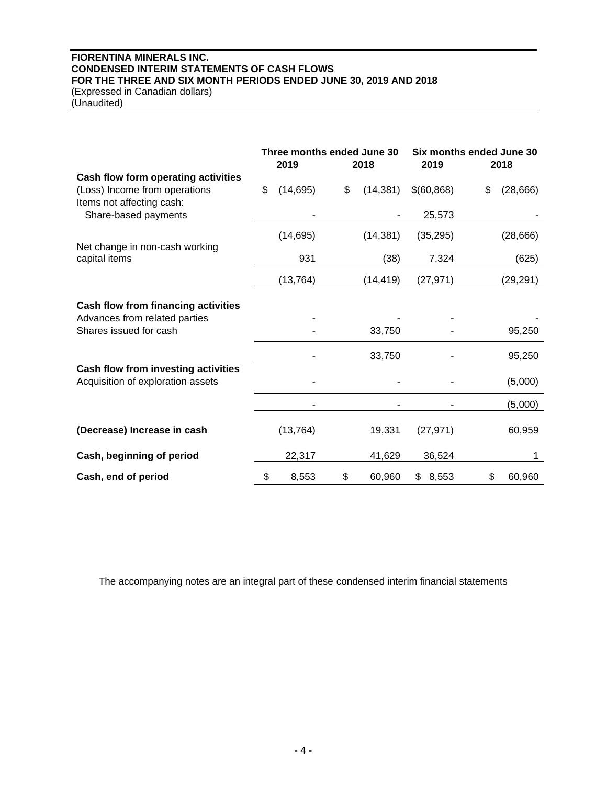# **FIORENTINA MINERALS INC. CONDENSED INTERIM STATEMENTS OF CASH FLOWS FOR THE THREE AND SIX MONTH PERIODS ENDED JUNE 30, 2019 AND 2018** (Expressed in Canadian dollars)

(Unaudited)

|                                     | Three months ended June 30<br>2019 | 2018            | Six months ended June 30<br>2019 | 2018            |
|-------------------------------------|------------------------------------|-----------------|----------------------------------|-----------------|
| Cash flow form operating activities |                                    |                 |                                  |                 |
| (Loss) Income from operations       | \$<br>(14, 695)                    | \$<br>(14, 381) | \$(60, 868)                      | \$<br>(28, 666) |
| Items not affecting cash:           |                                    |                 |                                  |                 |
| Share-based payments                |                                    |                 | 25,573                           |                 |
|                                     | (14, 695)                          | (14, 381)       | (35, 295)                        | (28, 666)       |
| Net change in non-cash working      |                                    |                 |                                  |                 |
| capital items                       | 931                                | (38)            | 7,324                            | (625)           |
|                                     | (13, 764)                          | (14, 419)       | (27, 971)                        | (29,291)        |
|                                     |                                    |                 |                                  |                 |
| Cash flow from financing activities |                                    |                 |                                  |                 |
| Advances from related parties       |                                    |                 |                                  |                 |
| Shares issued for cash              |                                    | 33,750          |                                  | 95,250          |
|                                     |                                    | 33,750          |                                  | 95,250          |
| Cash flow from investing activities |                                    |                 |                                  |                 |
| Acquisition of exploration assets   |                                    |                 |                                  | (5,000)         |
|                                     |                                    |                 |                                  | (5,000)         |
|                                     |                                    |                 |                                  |                 |
| (Decrease) Increase in cash         | (13, 764)                          | 19,331          | (27, 971)                        | 60,959          |
| Cash, beginning of period           | 22,317                             | 41,629          | 36,524                           | 1               |
| Cash, end of period                 | \$<br>8,553                        | \$<br>60,960    | \$<br>8,553                      | \$<br>60,960    |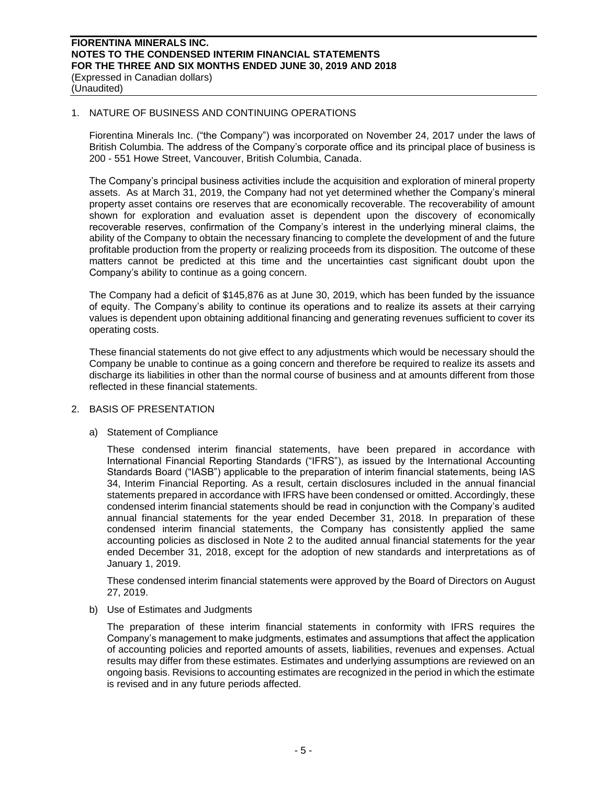### 1. NATURE OF BUSINESS AND CONTINUING OPERATIONS

Fiorentina Minerals Inc. ("the Company") was incorporated on November 24, 2017 under the laws of British Columbia. The address of the Company's corporate office and its principal place of business is 200 - 551 Howe Street, Vancouver, British Columbia, Canada.

The Company's principal business activities include the acquisition and exploration of mineral property assets. As at March 31, 2019, the Company had not yet determined whether the Company's mineral property asset contains ore reserves that are economically recoverable. The recoverability of amount shown for exploration and evaluation asset is dependent upon the discovery of economically recoverable reserves, confirmation of the Company's interest in the underlying mineral claims, the ability of the Company to obtain the necessary financing to complete the development of and the future profitable production from the property or realizing proceeds from its disposition. The outcome of these matters cannot be predicted at this time and the uncertainties cast significant doubt upon the Company's ability to continue as a going concern.

The Company had a deficit of \$145,876 as at June 30, 2019, which has been funded by the issuance of equity. The Company's ability to continue its operations and to realize its assets at their carrying values is dependent upon obtaining additional financing and generating revenues sufficient to cover its operating costs.

These financial statements do not give effect to any adjustments which would be necessary should the Company be unable to continue as a going concern and therefore be required to realize its assets and discharge its liabilities in other than the normal course of business and at amounts different from those reflected in these financial statements.

## 2. BASIS OF PRESENTATION

## a) Statement of Compliance

These condensed interim financial statements, have been prepared in accordance with International Financial Reporting Standards ("IFRS"), as issued by the International Accounting Standards Board ("IASB") applicable to the preparation of interim financial statements, being IAS 34, Interim Financial Reporting. As a result, certain disclosures included in the annual financial statements prepared in accordance with IFRS have been condensed or omitted. Accordingly, these condensed interim financial statements should be read in conjunction with the Company's audited annual financial statements for the year ended December 31, 2018. In preparation of these condensed interim financial statements, the Company has consistently applied the same accounting policies as disclosed in Note 2 to the audited annual financial statements for the year ended December 31, 2018, except for the adoption of new standards and interpretations as of January 1, 2019.

These condensed interim financial statements were approved by the Board of Directors on August 27, 2019.

#### b) Use of Estimates and Judgments

The preparation of these interim financial statements in conformity with IFRS requires the Company's management to make judgments, estimates and assumptions that affect the application of accounting policies and reported amounts of assets, liabilities, revenues and expenses. Actual results may differ from these estimates. Estimates and underlying assumptions are reviewed on an ongoing basis. Revisions to accounting estimates are recognized in the period in which the estimate is revised and in any future periods affected.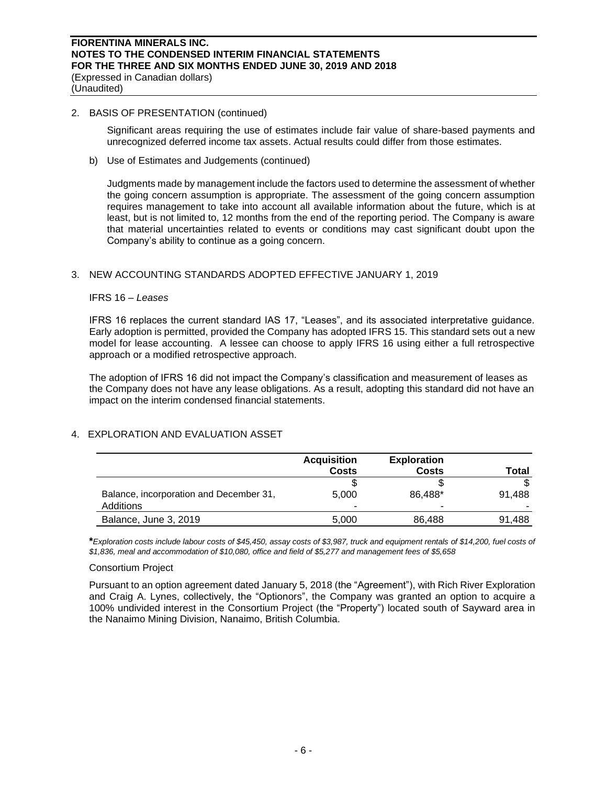### 2. BASIS OF PRESENTATION (continued)

Significant areas requiring the use of estimates include fair value of share-based payments and unrecognized deferred income tax assets. Actual results could differ from those estimates.

b) Use of Estimates and Judgements (continued)

Judgments made by management include the factors used to determine the assessment of whether the going concern assumption is appropriate. The assessment of the going concern assumption requires management to take into account all available information about the future, which is at least, but is not limited to, 12 months from the end of the reporting period. The Company is aware that material uncertainties related to events or conditions may cast significant doubt upon the Company's ability to continue as a going concern.

## 3. NEW ACCOUNTING STANDARDS ADOPTED EFFECTIVE JANUARY 1, 2019

#### IFRS 16 – *Leases*

IFRS 16 replaces the current standard IAS 17, "Leases", and its associated interpretative guidance. Early adoption is permitted, provided the Company has adopted IFRS 15. This standard sets out a new model for lease accounting. A lessee can choose to apply IFRS 16 using either a full retrospective approach or a modified retrospective approach.

The adoption of IFRS 16 did not impact the Company's classification and measurement of leases as the Company does not have any lease obligations. As a result, adopting this standard did not have an impact on the interim condensed financial statements.

## 4. EXPLORATION AND EVALUATION ASSET

|                                                      | <b>Acquisition</b><br><b>Costs</b> | <b>Exploration</b><br><b>Costs</b> | Total  |
|------------------------------------------------------|------------------------------------|------------------------------------|--------|
|                                                      |                                    |                                    |        |
| Balance, incorporation and December 31,<br>Additions | 5.000                              | 86,488*<br>-                       | 91.488 |
| Balance, June 3, 2019                                | 5,000                              | 86,488                             | 91,488 |

**\****Exploration costs include labour costs of \$45,450, assay costs of \$3,987, truck and equipment rentals of \$14,200, fuel costs of \$1,836, meal and accommodation of \$10,080, office and field of \$5,277 and management fees of \$5,658*

## Consortium Project

Pursuant to an option agreement dated January 5, 2018 (the "Agreement"), with Rich River Exploration and Craig A. Lynes, collectively, the "Optionors", the Company was granted an option to acquire a 100% undivided interest in the Consortium Project (the "Property") located south of Sayward area in the Nanaimo Mining Division, Nanaimo, British Columbia.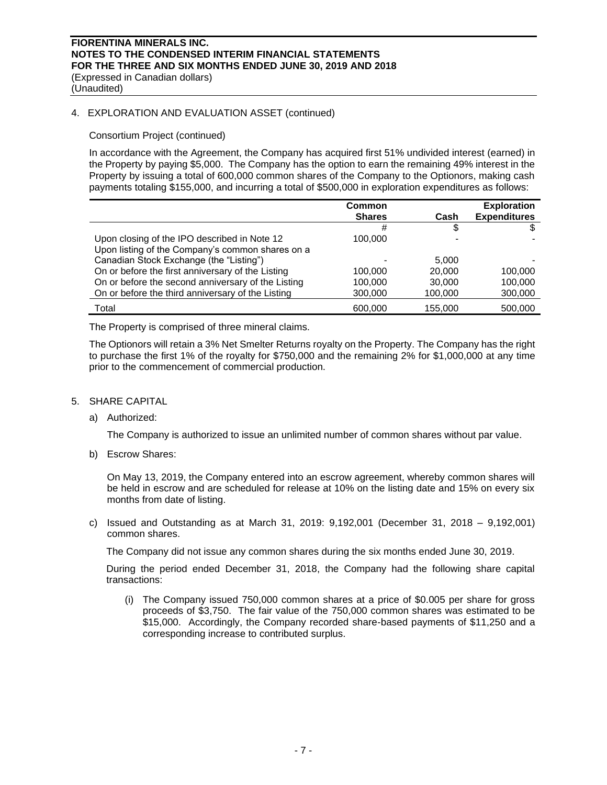# **FIORENTINA MINERALS INC. NOTES TO THE CONDENSED INTERIM FINANCIAL STATEMENTS FOR THE THREE AND SIX MONTHS ENDED JUNE 30, 2019 AND 2018** (Expressed in Canadian dollars)

(Unaudited)

### 4. EXPLORATION AND EVALUATION ASSET (continued)

### Consortium Project (continued)

In accordance with the Agreement, the Company has acquired first 51% undivided interest (earned) in the Property by paying \$5,000. The Company has the option to earn the remaining 49% interest in the Property by issuing a total of 600,000 common shares of the Company to the Optionors, making cash payments totaling \$155,000, and incurring a total of \$500,000 in exploration expenditures as follows:

|                                                                                                  | <b>Common</b><br><b>Shares</b> | Cash    | <b>Exploration</b><br><b>Expenditures</b> |
|--------------------------------------------------------------------------------------------------|--------------------------------|---------|-------------------------------------------|
|                                                                                                  | #                              | S       |                                           |
| Upon closing of the IPO described in Note 12<br>Upon listing of the Company's common shares on a | 100.000                        |         |                                           |
| Canadian Stock Exchange (the "Listing")                                                          |                                | 5,000   |                                           |
| On or before the first anniversary of the Listing                                                | 100.000                        | 20,000  | 100,000                                   |
| On or before the second anniversary of the Listing                                               | 100.000                        | 30,000  | 100.000                                   |
| On or before the third anniversary of the Listing                                                | 300,000                        | 100,000 | 300,000                                   |
| Total                                                                                            | 600,000                        | 155.000 | 500.000                                   |

The Property is comprised of three mineral claims.

The Optionors will retain a 3% Net Smelter Returns royalty on the Property. The Company has the right to purchase the first 1% of the royalty for \$750,000 and the remaining 2% for \$1,000,000 at any time prior to the commencement of commercial production.

#### 5. SHARE CAPITAL

a) Authorized:

The Company is authorized to issue an unlimited number of common shares without par value.

b) Escrow Shares:

On May 13, 2019, the Company entered into an escrow agreement, whereby common shares will be held in escrow and are scheduled for release at 10% on the listing date and 15% on every six months from date of listing.

c) Issued and Outstanding as at March 31, 2019: 9,192,001 (December 31, 2018 – 9,192,001) common shares.

The Company did not issue any common shares during the six months ended June 30, 2019.

During the period ended December 31, 2018, the Company had the following share capital transactions:

(i) The Company issued 750,000 common shares at a price of \$0.005 per share for gross proceeds of \$3,750. The fair value of the 750,000 common shares was estimated to be \$15,000. Accordingly, the Company recorded share-based payments of \$11,250 and a corresponding increase to contributed surplus.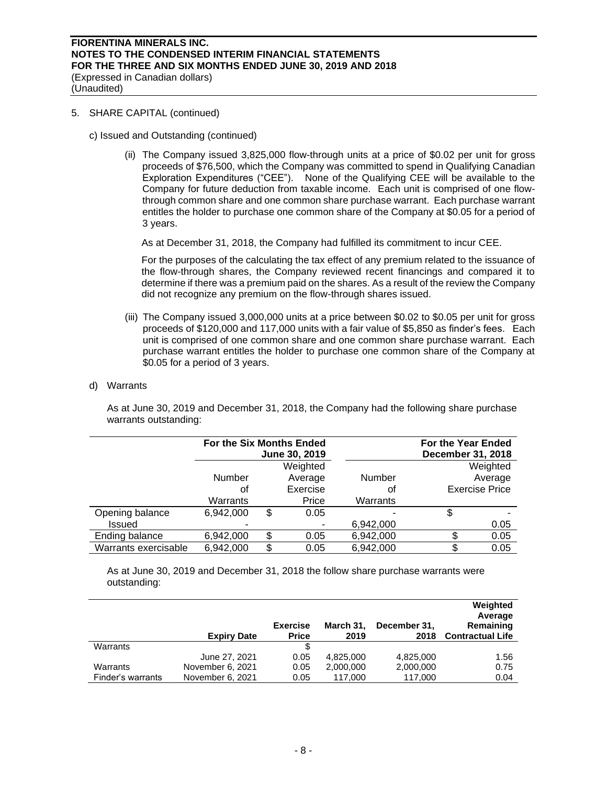## 5. SHARE CAPITAL (continued)

- c) Issued and Outstanding (continued)
	- (ii) The Company issued 3,825,000 flow-through units at a price of \$0.02 per unit for gross proceeds of \$76,500, which the Company was committed to spend in Qualifying Canadian Exploration Expenditures ("CEE"). None of the Qualifying CEE will be available to the Company for future deduction from taxable income. Each unit is comprised of one flowthrough common share and one common share purchase warrant. Each purchase warrant entitles the holder to purchase one common share of the Company at \$0.05 for a period of 3 years.

As at December 31, 2018, the Company had fulfilled its commitment to incur CEE.

For the purposes of the calculating the tax effect of any premium related to the issuance of the flow-through shares, the Company reviewed recent financings and compared it to determine if there was a premium paid on the shares. As a result of the review the Company did not recognize any premium on the flow-through shares issued.

- (iii) The Company issued 3,000,000 units at a price between \$0.02 to \$0.05 per unit for gross proceeds of \$120,000 and 117,000 units with a fair value of \$5,850 as finder's fees. Each unit is comprised of one common share and one common share purchase warrant. Each purchase warrant entitles the holder to purchase one common share of the Company at \$0.05 for a period of 3 years.
- d) Warrants

As at June 30, 2019 and December 31, 2018, the Company had the following share purchase warrants outstanding:

|                      | For the Six Months Ended | June 30, 2019 |               | For the Year Ended<br>December 31, 2018 |                       |
|----------------------|--------------------------|---------------|---------------|-----------------------------------------|-----------------------|
|                      |                          | Weighted      |               |                                         | Weighted              |
|                      | <b>Number</b>            | Average       | <b>Number</b> |                                         | Average               |
|                      | оt                       | Exercise      | οt            |                                         | <b>Exercise Price</b> |
|                      | Warrants                 | Price         | Warrants      |                                         |                       |
| Opening balance      | 6,942,000                | \$<br>0.05    |               | \$                                      |                       |
| <b>Issued</b>        |                          |               | 6,942,000     |                                         | 0.05                  |
| Ending balance       | 6,942,000                | \$<br>0.05    | 6,942,000     |                                         | 0.05                  |
| Warrants exercisable | 6,942,000                | \$<br>0.05    | 6,942,000     | \$                                      | 0.05                  |

As at June 30, 2019 and December 31, 2018 the follow share purchase warrants were outstanding:

|                   | <b>Expiry Date</b> | <b>Exercise</b><br><b>Price</b> | March 31,<br>2019 | December 31,<br>2018 | Weighted<br>Average<br>Remaining<br><b>Contractual Life</b> |
|-------------------|--------------------|---------------------------------|-------------------|----------------------|-------------------------------------------------------------|
| Warrants          |                    |                                 |                   |                      |                                                             |
|                   | June 27, 2021      | 0.05                            | 4,825,000         | 4,825,000            | 1.56                                                        |
| Warrants          | November 6, 2021   | 0.05                            | 2,000,000         | 2,000,000            | 0.75                                                        |
| Finder's warrants | November 6, 2021   | 0.05                            | 117,000           | 117,000              | 0.04                                                        |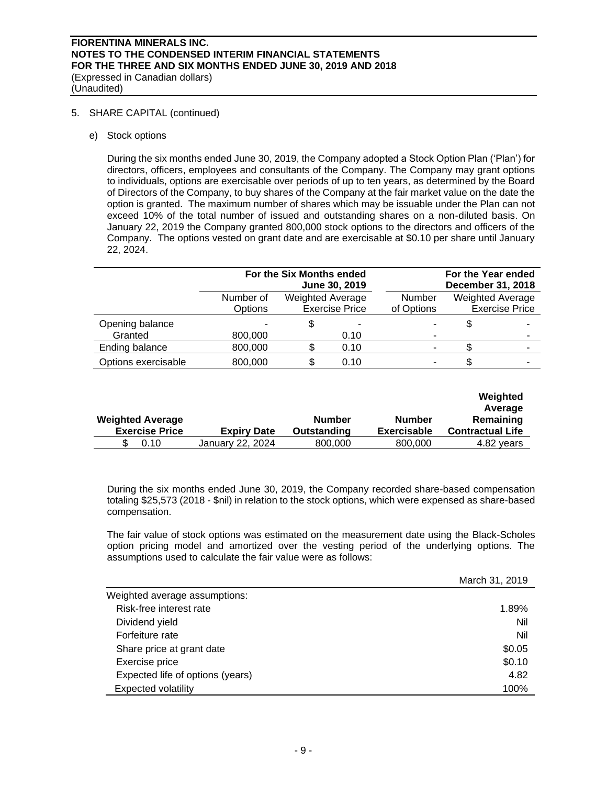5. SHARE CAPITAL (continued)

e) Stock options

During the six months ended June 30, 2019, the Company adopted a Stock Option Plan ('Plan') for directors, officers, employees and consultants of the Company. The Company may grant options to individuals, options are exercisable over periods of up to ten years, as determined by the Board of Directors of the Company, to buy shares of the Company at the fair market value on the date the option is granted. The maximum number of shares which may be issuable under the Plan can not exceed 10% of the total number of issued and outstanding shares on a non-diluted basis. On January 22, 2019 the Company granted 800,000 stock options to the directors and officers of the Company. The options vested on grant date and are exercisable at \$0.10 per share until January 22, 2024.

|                            | For the Six Months ended<br>June 30, 2019 |                         |                       |                      | For the Year ended<br>December 31, 2018          |
|----------------------------|-------------------------------------------|-------------------------|-----------------------|----------------------|--------------------------------------------------|
|                            | Number of<br>Options                      | <b>Weighted Average</b> | <b>Exercise Price</b> | Number<br>of Options | <b>Weighted Average</b><br><b>Exercise Price</b> |
| Opening balance<br>Granted | 800,000                                   | \$                      | -<br>0.10             |                      | -                                                |
| Ending balance             | 800,000                                   |                         | 0.10                  |                      | ٠                                                |
| Options exercisable        | 800,000                                   | S                       | 0.10                  |                      |                                                  |

| <b>Weighted Average</b><br><b>Exercise Price</b> | <b>Expiry Date</b> | <b>Number</b><br>Outstanding | Number<br><b>Exercisable</b> | Weighted<br>Average<br>Remaining<br><b>Contractual Life</b> |
|--------------------------------------------------|--------------------|------------------------------|------------------------------|-------------------------------------------------------------|
| 0.10                                             | January 22, 2024   | 800,000                      | 800,000                      | 4.82 years                                                  |

During the six months ended June 30, 2019, the Company recorded share-based compensation totaling \$25,573 (2018 - \$nil) in relation to the stock options, which were expensed as share-based compensation.

The fair value of stock options was estimated on the measurement date using the Black-Scholes option pricing model and amortized over the vesting period of the underlying options. The assumptions used to calculate the fair value were as follows:

|                                  | March 31, 2019 |
|----------------------------------|----------------|
| Weighted average assumptions:    |                |
| Risk-free interest rate          | 1.89%          |
| Dividend yield                   | Nil            |
| Forfeiture rate                  | Nil            |
| Share price at grant date        | \$0.05         |
| Exercise price                   | \$0.10         |
| Expected life of options (years) | 4.82           |
| <b>Expected volatility</b>       | 100%           |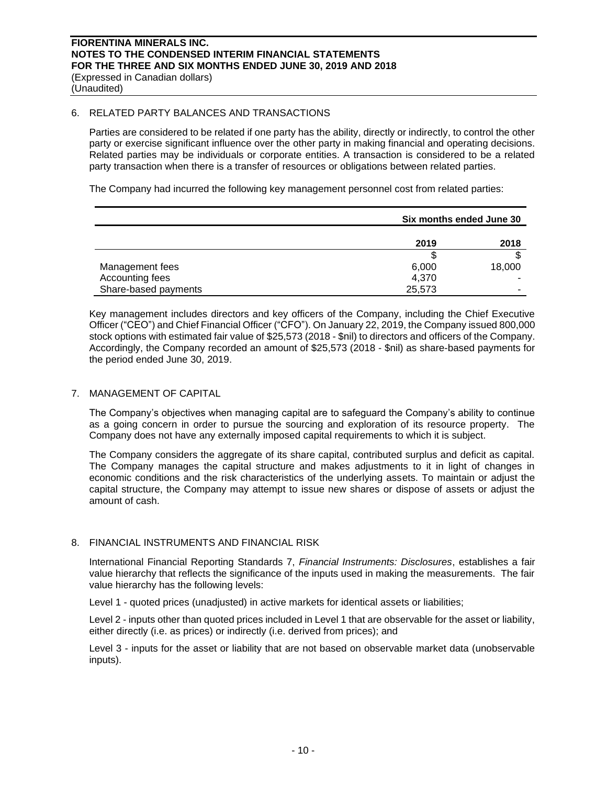### 6. RELATED PARTY BALANCES AND TRANSACTIONS

Parties are considered to be related if one party has the ability, directly or indirectly, to control the other party or exercise significant influence over the other party in making financial and operating decisions. Related parties may be individuals or corporate entities. A transaction is considered to be a related party transaction when there is a transfer of resources or obligations between related parties.

The Company had incurred the following key management personnel cost from related parties:

|                      | Six months ended June 30 |        |  |
|----------------------|--------------------------|--------|--|
|                      | 2019                     | 2018   |  |
|                      |                          |        |  |
| Management fees      | 6,000                    | 18,000 |  |
| Accounting fees      | 4,370                    |        |  |
| Share-based payments | 25,573                   | -      |  |

Key management includes directors and key officers of the Company, including the Chief Executive Officer ("CEO") and Chief Financial Officer ("CFO"). On January 22, 2019, the Company issued 800,000 stock options with estimated fair value of \$25,573 (2018 - \$nil) to directors and officers of the Company. Accordingly, the Company recorded an amount of \$25,573 (2018 - \$nil) as share-based payments for the period ended June 30, 2019.

## 7. MANAGEMENT OF CAPITAL

The Company's objectives when managing capital are to safeguard the Company's ability to continue as a going concern in order to pursue the sourcing and exploration of its resource property. The Company does not have any externally imposed capital requirements to which it is subject.

The Company considers the aggregate of its share capital, contributed surplus and deficit as capital. The Company manages the capital structure and makes adjustments to it in light of changes in economic conditions and the risk characteristics of the underlying assets. To maintain or adjust the capital structure, the Company may attempt to issue new shares or dispose of assets or adjust the amount of cash.

## 8. FINANCIAL INSTRUMENTS AND FINANCIAL RISK

International Financial Reporting Standards 7, *Financial Instruments: Disclosures*, establishes a fair value hierarchy that reflects the significance of the inputs used in making the measurements. The fair value hierarchy has the following levels:

Level 1 - quoted prices (unadjusted) in active markets for identical assets or liabilities;

Level 2 - inputs other than quoted prices included in Level 1 that are observable for the asset or liability, either directly (i.e. as prices) or indirectly (i.e. derived from prices); and

Level 3 - inputs for the asset or liability that are not based on observable market data (unobservable inputs).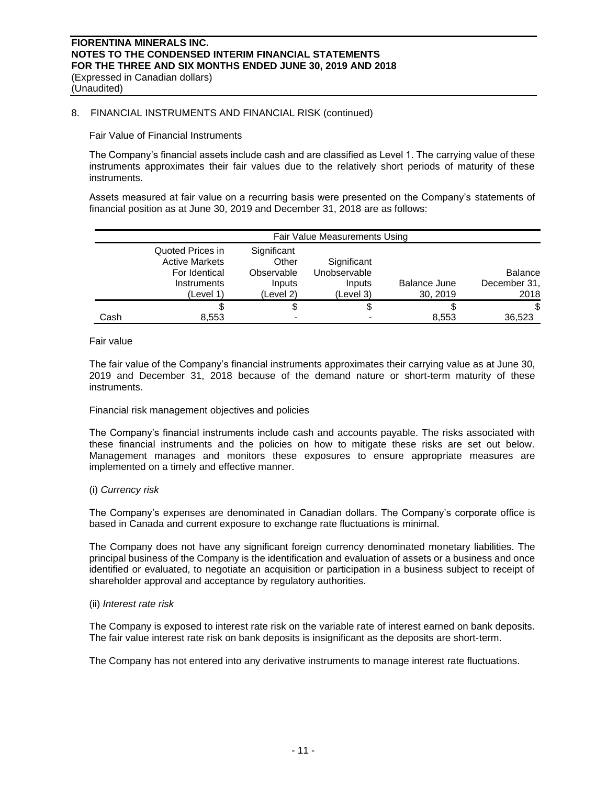### 8. FINANCIAL INSTRUMENTS AND FINANCIAL RISK (continued)

Fair Value of Financial Instruments

The Company's financial assets include cash and are classified as Level 1. The carrying value of these instruments approximates their fair values due to the relatively short periods of maturity of these instruments.

Assets measured at fair value on a recurring basis were presented on the Company's statements of financial position as at June 30, 2019 and December 31, 2018 are as follows:

|      | Fair Value Measurements Using                                                          |                                                           |                                                    |                          |                                        |
|------|----------------------------------------------------------------------------------------|-----------------------------------------------------------|----------------------------------------------------|--------------------------|----------------------------------------|
|      | Quoted Prices in<br><b>Active Markets</b><br>For Identical<br>Instruments<br>(Level 1) | Significant<br>Other<br>Observable<br>Inputs<br>(Level 2) | Significant<br>Unobservable<br>Inputs<br>(Level 3) | Balance June<br>30, 2019 | <b>Balance</b><br>December 31,<br>2018 |
|      |                                                                                        | \$                                                        | \$                                                 |                          | \$                                     |
| Cash | 8,553                                                                                  |                                                           |                                                    | 8,553                    | 36,523                                 |

### Fair value

The fair value of the Company's financial instruments approximates their carrying value as at June 30, 2019 and December 31, 2018 because of the demand nature or short-term maturity of these instruments.

#### Financial risk management objectives and policies

The Company's financial instruments include cash and accounts payable. The risks associated with these financial instruments and the policies on how to mitigate these risks are set out below. Management manages and monitors these exposures to ensure appropriate measures are implemented on a timely and effective manner.

### (i) *Currency risk*

The Company's expenses are denominated in Canadian dollars. The Company's corporate office is based in Canada and current exposure to exchange rate fluctuations is minimal.

The Company does not have any significant foreign currency denominated monetary liabilities. The principal business of the Company is the identification and evaluation of assets or a business and once identified or evaluated, to negotiate an acquisition or participation in a business subject to receipt of shareholder approval and acceptance by regulatory authorities.

#### (ii) *Interest rate risk*

The Company is exposed to interest rate risk on the variable rate of interest earned on bank deposits. The fair value interest rate risk on bank deposits is insignificant as the deposits are short‐term.

The Company has not entered into any derivative instruments to manage interest rate fluctuations.